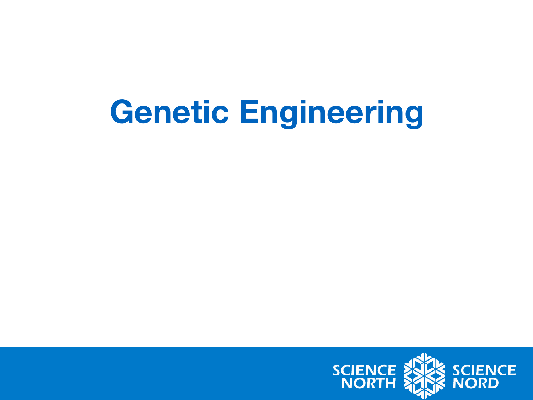#### **Genetic Engineering**

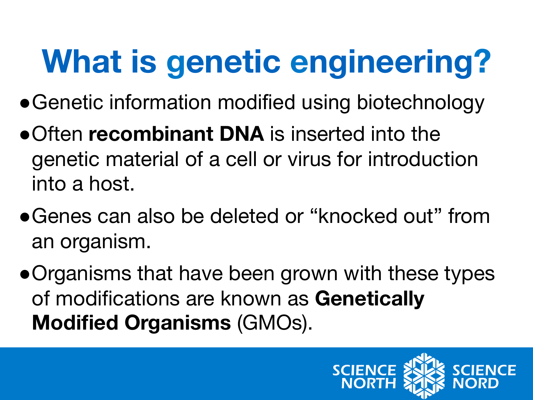# **What is genetic engineering?**

- Genetic information modified using biotechnology
- ●Often **recombinant DNA** is inserted into the genetic material of a cell or virus for introduction into a host.
- ●Genes can also be deleted or "knocked out" from an organism.
- ●Organisms that have been grown with these types of modifications are known as **Genetically Modified Organisms** (GMOs).

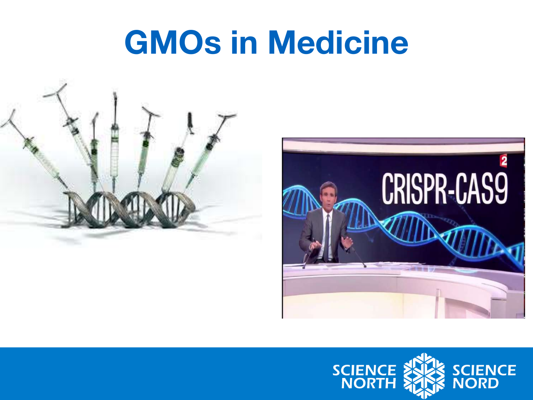## **GMOs in Medicine**





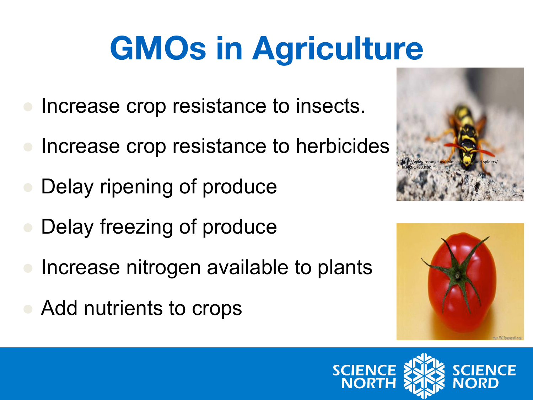## **GMOs in Agriculture**

- Increase crop resistance to insects.
- Increase crop resistance to herbicides
- Delay ripening of produce
- Delay freezing of produce
- Increase nitrogen available to plants
- Add nutrients to crops





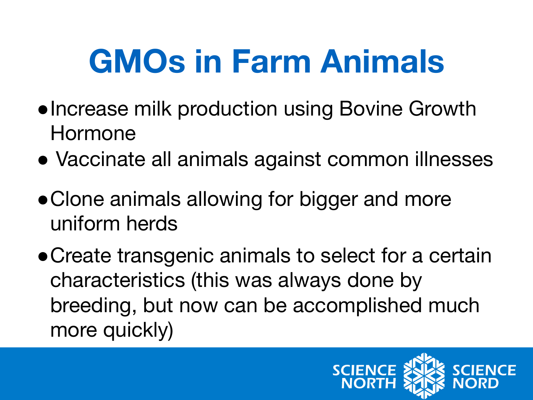## **GMOs in Farm Animals**

- ●Increase milk production using Bovine Growth Hormone
- Vaccinate all animals against common illnesses
- Clone animals allowing for bigger and more uniform herds
- ●Create transgenic animals to select for a certain characteristics (this was always done by breeding, but now can be accomplished much more quickly)

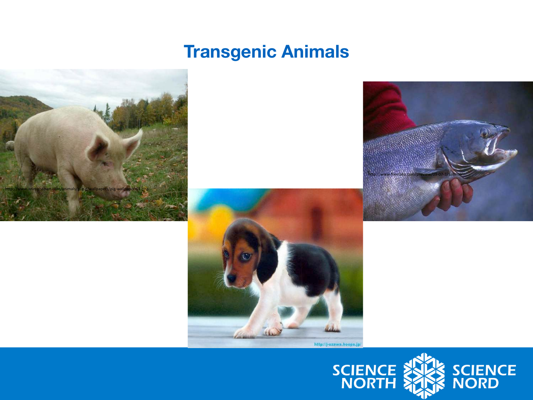#### **Transgenic Animals**



![](_page_5_Picture_2.jpeg)

![](_page_5_Picture_3.jpeg)

![](_page_5_Picture_4.jpeg)